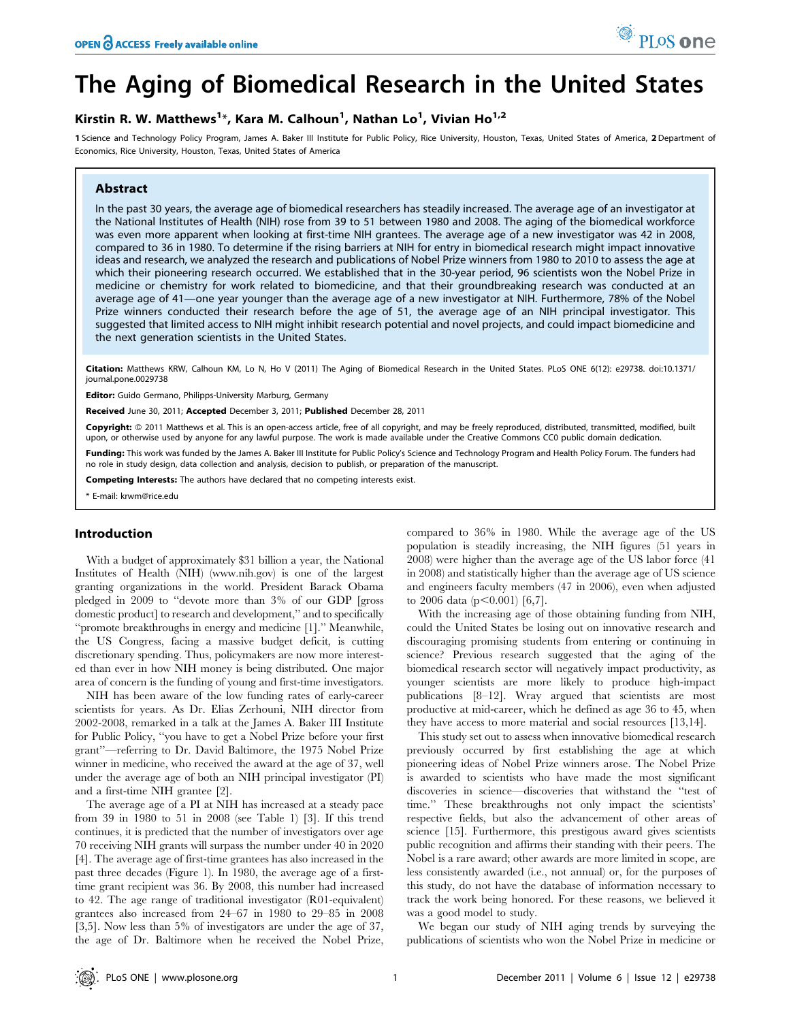# The Aging of Biomedical Research in the United States

# Kirstin R. W. Matthews<sup>1</sup>\*, Kara M. Calhoun<sup>1</sup>, Nathan Lo<sup>1</sup>, Vivian Ho<sup>1,2</sup>

1 Science and Technology Policy Program, James A. Baker III Institute for Public Policy, Rice University, Houston, Texas, United States of America, 2 Department of Economics, Rice University, Houston, Texas, United States of America

# Abstract

In the past 30 years, the average age of biomedical researchers has steadily increased. The average age of an investigator at the National Institutes of Health (NIH) rose from 39 to 51 between 1980 and 2008. The aging of the biomedical workforce was even more apparent when looking at first-time NIH grantees. The average age of a new investigator was 42 in 2008, compared to 36 in 1980. To determine if the rising barriers at NIH for entry in biomedical research might impact innovative ideas and research, we analyzed the research and publications of Nobel Prize winners from 1980 to 2010 to assess the age at which their pioneering research occurred. We established that in the 30-year period, 96 scientists won the Nobel Prize in medicine or chemistry for work related to biomedicine, and that their groundbreaking research was conducted at an average age of 41—one year younger than the average age of a new investigator at NIH. Furthermore, 78% of the Nobel Prize winners conducted their research before the age of 51, the average age of an NIH principal investigator. This suggested that limited access to NIH might inhibit research potential and novel projects, and could impact biomedicine and the next generation scientists in the United States.

Citation: Matthews KRW, Calhoun KM, Lo N, Ho V (2011) The Aging of Biomedical Research in the United States. PLoS ONE 6(12): e29738. doi:10.1371/ journal.pone.0029738

Editor: Guido Germano, Philipps-University Marburg, Germany

Received June 30, 2011; Accepted December 3, 2011; Published December 28, 2011

Copyright: © 2011 Matthews et al. This is an open-access article, free of all copyright, and may be freely reproduced, distributed, transmitted, modified, built upon, or otherwise used by anyone for any lawful purpose. The work is made available under the Creative Commons CC0 public domain dedication.

Funding: This work was funded by the James A. Baker III Institute for Public Policy's Science and Technology Program and Health Policy Forum. The funders had no role in study design, data collection and analysis, decision to publish, or preparation of the manuscript.

Competing Interests: The authors have declared that no competing interests exist.

\* E-mail: krwm@rice.edu

## Introduction

With a budget of approximately \$31 billion a year, the National Institutes of Health (NIH) (www.nih.gov) is one of the largest granting organizations in the world. President Barack Obama pledged in 2009 to ''devote more than 3% of our GDP [gross domestic product] to research and development,'' and to specifically ''promote breakthroughs in energy and medicine [1].'' Meanwhile, the US Congress, facing a massive budget deficit, is cutting discretionary spending. Thus, policymakers are now more interested than ever in how NIH money is being distributed. One major area of concern is the funding of young and first-time investigators.

NIH has been aware of the low funding rates of early-career scientists for years. As Dr. Elias Zerhouni, NIH director from 2002-2008, remarked in a talk at the James A. Baker III Institute for Public Policy, ''you have to get a Nobel Prize before your first grant''—referring to Dr. David Baltimore, the 1975 Nobel Prize winner in medicine, who received the award at the age of 37, well under the average age of both an NIH principal investigator (PI) and a first-time NIH grantee [2].

The average age of a PI at NIH has increased at a steady pace from 39 in 1980 to 51 in 2008 (see Table 1) [3]. If this trend continues, it is predicted that the number of investigators over age 70 receiving NIH grants will surpass the number under 40 in 2020 [4]. The average age of first-time grantees has also increased in the past three decades (Figure 1). In 1980, the average age of a firsttime grant recipient was 36. By 2008, this number had increased to 42. The age range of traditional investigator (R01-equivalent) grantees also increased from 24–67 in 1980 to 29–85 in 2008 [3,5]. Now less than 5% of investigators are under the age of 37, the age of Dr. Baltimore when he received the Nobel Prize,

compared to 36% in 1980. While the average age of the US population is steadily increasing, the NIH figures (51 years in 2008) were higher than the average age of the US labor force (41 in 2008) and statistically higher than the average age of US science and engineers faculty members (47 in 2006), even when adjusted to 2006 data ( $p<0.001$ ) [6,7].

With the increasing age of those obtaining funding from NIH, could the United States be losing out on innovative research and discouraging promising students from entering or continuing in science? Previous research suggested that the aging of the biomedical research sector will negatively impact productivity, as younger scientists are more likely to produce high-impact publications [8–12]. Wray argued that scientists are most productive at mid-career, which he defined as age 36 to 45, when they have access to more material and social resources [13,14].

This study set out to assess when innovative biomedical research previously occurred by first establishing the age at which pioneering ideas of Nobel Prize winners arose. The Nobel Prize is awarded to scientists who have made the most significant discoveries in science—discoveries that withstand the ''test of time.'' These breakthroughs not only impact the scientists' respective fields, but also the advancement of other areas of science [15]. Furthermore, this prestigous award gives scientists public recognition and affirms their standing with their peers. The Nobel is a rare award; other awards are more limited in scope, are less consistently awarded (i.e., not annual) or, for the purposes of this study, do not have the database of information necessary to track the work being honored. For these reasons, we believed it was a good model to study.

We began our study of NIH aging trends by surveying the publications of scientists who won the Nobel Prize in medicine or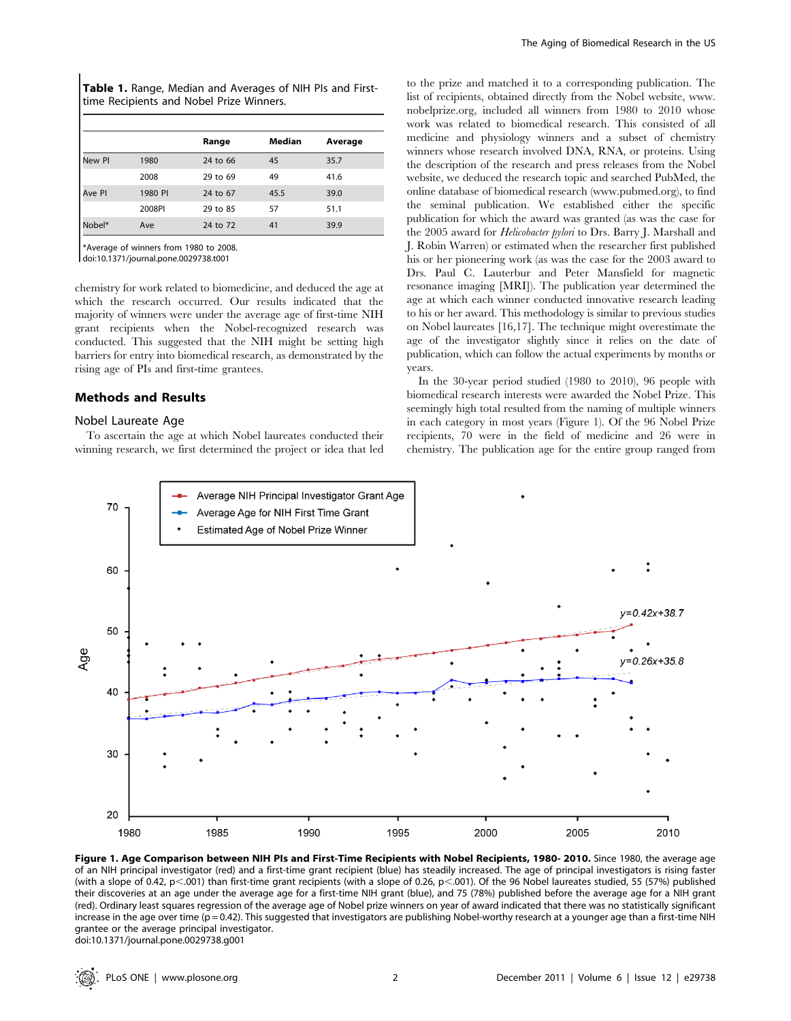Table 1. Range, Median and Averages of NIH Pls and Firsttime Recipients and Nobel Prize Winners.

|        |         | Range    | Median | Average |
|--------|---------|----------|--------|---------|
| New PI | 1980    | 24 to 66 | 45     | 35.7    |
|        | 2008    | 29 to 69 | 49     | 41.6    |
| Ave PI | 1980 PI | 24 to 67 | 45.5   | 39.0    |
|        | 2008PI  | 29 to 85 | 57     | 51.1    |
| Nobel* | Ave     | 24 to 72 | 41     | 39.9    |

\*Average of winners from 1980 to 2008.

doi:10.1371/journal.pone.0029738.t001

chemistry for work related to biomedicine, and deduced the age at which the research occurred. Our results indicated that the majority of winners were under the average age of first-time NIH grant recipients when the Nobel-recognized research was conducted. This suggested that the NIH might be setting high barriers for entry into biomedical research, as demonstrated by the rising age of PIs and first-time grantees.

# Methods and Results

# Nobel Laureate Age

To ascertain the age at which Nobel laureates conducted their winning research, we first determined the project or idea that led to the prize and matched it to a corresponding publication. The list of recipients, obtained directly from the Nobel website, www. nobelprize.org, included all winners from 1980 to 2010 whose work was related to biomedical research. This consisted of all medicine and physiology winners and a subset of chemistry winners whose research involved DNA, RNA, or proteins. Using the description of the research and press releases from the Nobel website, we deduced the research topic and searched PubMed, the online database of biomedical research (www.pubmed.org), to find the seminal publication. We established either the specific publication for which the award was granted (as was the case for the 2005 award for *Helicobacter pylori* to Drs. Barry J. Marshall and J. Robin Warren) or estimated when the researcher first published his or her pioneering work (as was the case for the 2003 award to Drs. Paul C. Lauterbur and Peter Mansfield for magnetic resonance imaging [MRI]). The publication year determined the age at which each winner conducted innovative research leading to his or her award. This methodology is similar to previous studies on Nobel laureates [16,17]. The technique might overestimate the age of the investigator slightly since it relies on the date of publication, which can follow the actual experiments by months or years.

In the 30-year period studied (1980 to 2010), 96 people with biomedical research interests were awarded the Nobel Prize. This seemingly high total resulted from the naming of multiple winners in each category in most years (Figure 1). Of the 96 Nobel Prize recipients, 70 were in the field of medicine and 26 were in chemistry. The publication age for the entire group ranged from



Figure 1. Age Comparison between NIH PIs and First-Time Recipients with Nobel Recipients, 1980- 2010. Since 1980, the average age of an NIH principal investigator (red) and a first-time grant recipient (blue) has steadily increased. The age of principal investigators is rising faster (with a slope of 0.42, p<.001) than first-time grant recipients (with a slope of 0.26, p<.001). Of the 96 Nobel laureates studied, 55 (57%) published their discoveries at an age under the average age for a first-time NIH grant (blue), and 75 (78%) published before the average age for a NIH grant (red). Ordinary least squares regression of the average age of Nobel prize winners on year of award indicated that there was no statistically significant increase in the age over time (p = 0.42). This suggested that investigators are publishing Nobel-worthy research at a younger age than a first-time NIH grantee or the average principal investigator. doi:10.1371/journal.pone.0029738.g001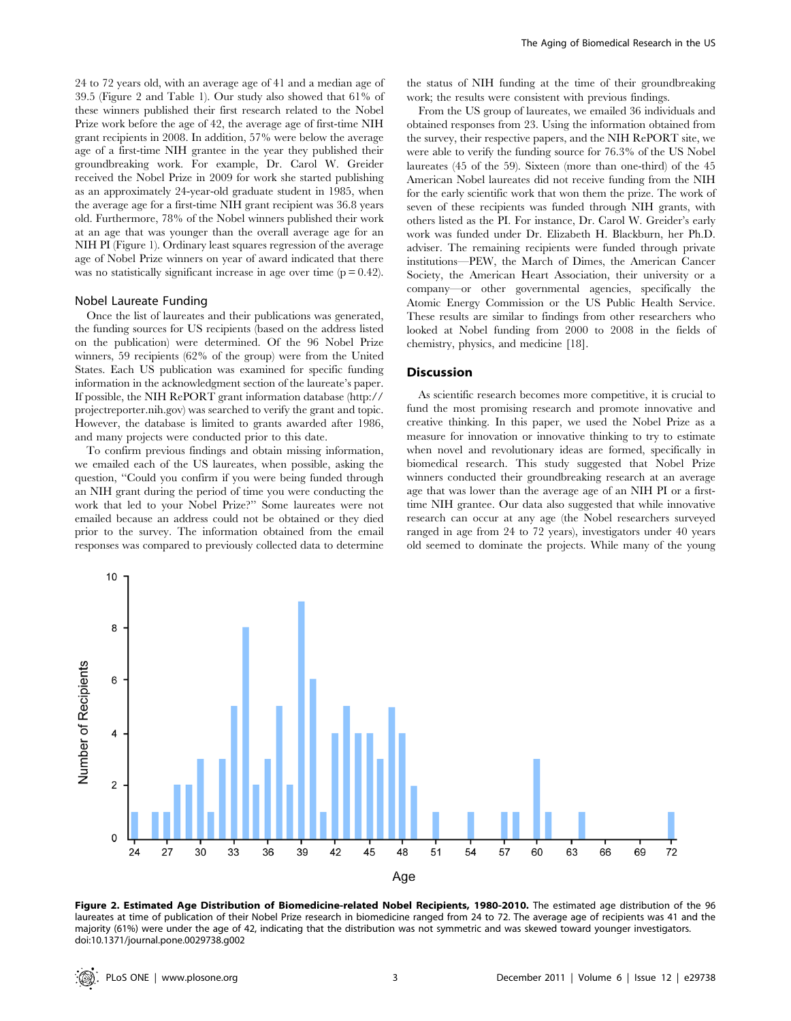24 to 72 years old, with an average age of 41 and a median age of 39.5 (Figure 2 and Table 1). Our study also showed that 61% of these winners published their first research related to the Nobel Prize work before the age of 42, the average age of first-time NIH grant recipients in 2008. In addition, 57% were below the average age of a first-time NIH grantee in the year they published their groundbreaking work. For example, Dr. Carol W. Greider received the Nobel Prize in 2009 for work she started publishing as an approximately 24-year-old graduate student in 1985, when the average age for a first-time NIH grant recipient was 36.8 years old. Furthermore, 78% of the Nobel winners published their work at an age that was younger than the overall average age for an NIH PI (Figure 1). Ordinary least squares regression of the average age of Nobel Prize winners on year of award indicated that there was no statistically significant increase in age over time  $(p = 0.42)$ .

#### Nobel Laureate Funding

Once the list of laureates and their publications was generated, the funding sources for US recipients (based on the address listed on the publication) were determined. Of the 96 Nobel Prize winners, 59 recipients (62% of the group) were from the United States. Each US publication was examined for specific funding information in the acknowledgment section of the laureate's paper. If possible, the NIH RePORT grant information database (http:// projectreporter.nih.gov) was searched to verify the grant and topic. However, the database is limited to grants awarded after 1986, and many projects were conducted prior to this date.

To confirm previous findings and obtain missing information, we emailed each of the US laureates, when possible, asking the question, ''Could you confirm if you were being funded through an NIH grant during the period of time you were conducting the work that led to your Nobel Prize?'' Some laureates were not emailed because an address could not be obtained or they died prior to the survey. The information obtained from the email responses was compared to previously collected data to determine

the status of NIH funding at the time of their groundbreaking work; the results were consistent with previous findings.

From the US group of laureates, we emailed 36 individuals and obtained responses from 23. Using the information obtained from the survey, their respective papers, and the NIH RePORT site, we were able to verify the funding source for 76.3% of the US Nobel laureates (45 of the 59). Sixteen (more than one-third) of the 45 American Nobel laureates did not receive funding from the NIH for the early scientific work that won them the prize. The work of seven of these recipients was funded through NIH grants, with others listed as the PI. For instance, Dr. Carol W. Greider's early work was funded under Dr. Elizabeth H. Blackburn, her Ph.D. adviser. The remaining recipients were funded through private institutions—PEW, the March of Dimes, the American Cancer Society, the American Heart Association, their university or a company—or other governmental agencies, specifically the Atomic Energy Commission or the US Public Health Service. These results are similar to findings from other researchers who looked at Nobel funding from 2000 to 2008 in the fields of chemistry, physics, and medicine [18].

#### Discussion

As scientific research becomes more competitive, it is crucial to fund the most promising research and promote innovative and creative thinking. In this paper, we used the Nobel Prize as a measure for innovation or innovative thinking to try to estimate when novel and revolutionary ideas are formed, specifically in biomedical research. This study suggested that Nobel Prize winners conducted their groundbreaking research at an average age that was lower than the average age of an NIH PI or a firsttime NIH grantee. Our data also suggested that while innovative research can occur at any age (the Nobel researchers surveyed ranged in age from 24 to 72 years), investigators under 40 years old seemed to dominate the projects. While many of the young



Figure 2. Estimated Age Distribution of Biomedicine-related Nobel Recipients, 1980-2010. The estimated age distribution of the 96 laureates at time of publication of their Nobel Prize research in biomedicine ranged from 24 to 72. The average age of recipients was 41 and the majority (61%) were under the age of 42, indicating that the distribution was not symmetric and was skewed toward younger investigators. doi:10.1371/journal.pone.0029738.g002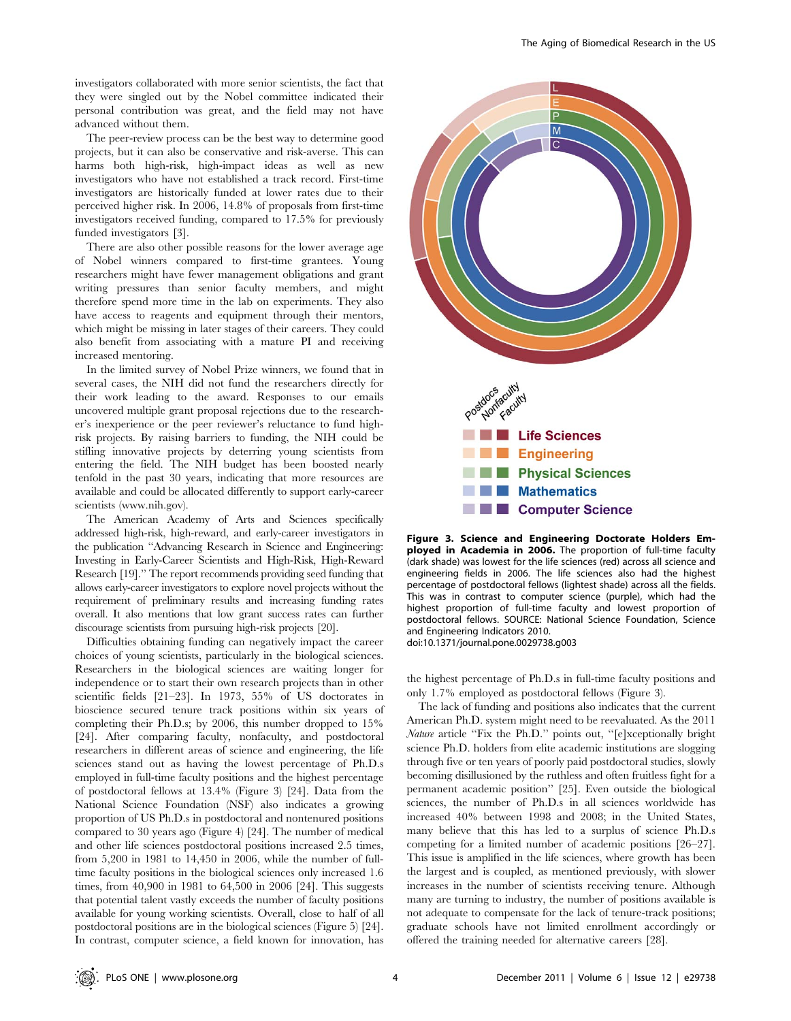investigators collaborated with more senior scientists, the fact that they were singled out by the Nobel committee indicated their personal contribution was great, and the field may not have advanced without them.

The peer-review process can be the best way to determine good projects, but it can also be conservative and risk-averse. This can harms both high-risk, high-impact ideas as well as new investigators who have not established a track record. First-time investigators are historically funded at lower rates due to their perceived higher risk. In 2006, 14.8% of proposals from first-time investigators received funding, compared to 17.5% for previously funded investigators [3].

There are also other possible reasons for the lower average age of Nobel winners compared to first-time grantees. Young researchers might have fewer management obligations and grant writing pressures than senior faculty members, and might therefore spend more time in the lab on experiments. They also have access to reagents and equipment through their mentors, which might be missing in later stages of their careers. They could also benefit from associating with a mature PI and receiving increased mentoring.

In the limited survey of Nobel Prize winners, we found that in several cases, the NIH did not fund the researchers directly for their work leading to the award. Responses to our emails uncovered multiple grant proposal rejections due to the researcher's inexperience or the peer reviewer's reluctance to fund highrisk projects. By raising barriers to funding, the NIH could be stifling innovative projects by deterring young scientists from entering the field. The NIH budget has been boosted nearly tenfold in the past 30 years, indicating that more resources are available and could be allocated differently to support early-career scientists (www.nih.gov).

The American Academy of Arts and Sciences specifically addressed high-risk, high-reward, and early-career investigators in the publication ''Advancing Research in Science and Engineering: Investing in Early-Career Scientists and High-Risk, High-Reward Research [19].'' The report recommends providing seed funding that allows early-career investigators to explore novel projects without the requirement of preliminary results and increasing funding rates overall. It also mentions that low grant success rates can further discourage scientists from pursuing high-risk projects [20].

Difficulties obtaining funding can negatively impact the career choices of young scientists, particularly in the biological sciences. Researchers in the biological sciences are waiting longer for independence or to start their own research projects than in other scientific fields [21–23]. In 1973, 55% of US doctorates in bioscience secured tenure track positions within six years of completing their Ph.D.s; by 2006, this number dropped to 15% [24]. After comparing faculty, nonfaculty, and postdoctoral researchers in different areas of science and engineering, the life sciences stand out as having the lowest percentage of Ph.D.s employed in full-time faculty positions and the highest percentage of postdoctoral fellows at 13.4% (Figure 3) [24]. Data from the National Science Foundation (NSF) also indicates a growing proportion of US Ph.D.s in postdoctoral and nontenured positions compared to 30 years ago (Figure 4) [24]. The number of medical and other life sciences postdoctoral positions increased 2.5 times, from 5,200 in 1981 to 14,450 in 2006, while the number of fulltime faculty positions in the biological sciences only increased 1.6 times, from 40,900 in 1981 to 64,500 in 2006 [24]. This suggests that potential talent vastly exceeds the number of faculty positions available for young working scientists. Overall, close to half of all postdoctoral positions are in the biological sciences (Figure 5) [24]. In contrast, computer science, a field known for innovation, has



Figure 3. Science and Engineering Doctorate Holders Employed in Academia in 2006. The proportion of full-time faculty (dark shade) was lowest for the life sciences (red) across all science and engineering fields in 2006. The life sciences also had the highest percentage of postdoctoral fellows (lightest shade) across all the fields. This was in contrast to computer science (purple), which had the highest proportion of full-time faculty and lowest proportion of postdoctoral fellows. SOURCE: National Science Foundation, Science and Engineering Indicators 2010. doi:10.1371/journal.pone.0029738.g003

the highest percentage of Ph.D.s in full-time faculty positions and only 1.7% employed as postdoctoral fellows (Figure 3).

The lack of funding and positions also indicates that the current American Ph.D. system might need to be reevaluated. As the 2011 Nature article ''Fix the Ph.D.'' points out, ''[e]xceptionally bright science Ph.D. holders from elite academic institutions are slogging through five or ten years of poorly paid postdoctoral studies, slowly becoming disillusioned by the ruthless and often fruitless fight for a permanent academic position'' [25]. Even outside the biological sciences, the number of Ph.D.s in all sciences worldwide has increased 40% between 1998 and 2008; in the United States, many believe that this has led to a surplus of science Ph.D.s competing for a limited number of academic positions [26–27]. This issue is amplified in the life sciences, where growth has been the largest and is coupled, as mentioned previously, with slower increases in the number of scientists receiving tenure. Although many are turning to industry, the number of positions available is not adequate to compensate for the lack of tenure-track positions; graduate schools have not limited enrollment accordingly or offered the training needed for alternative careers [28].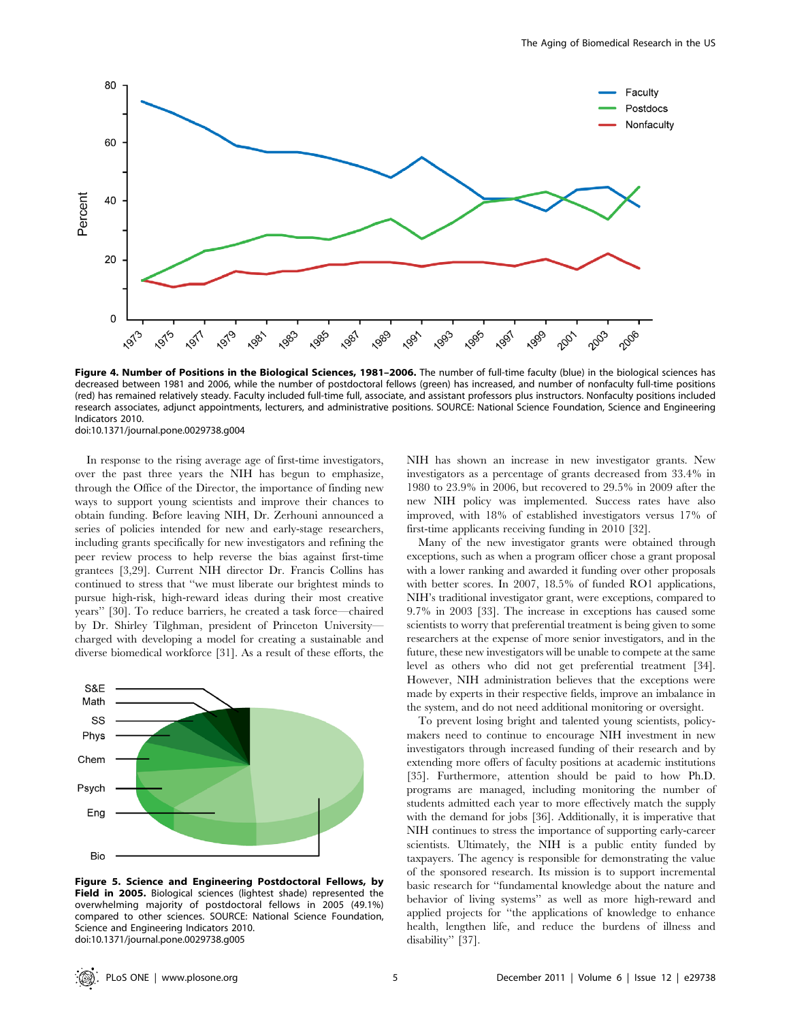

Figure 4. Number of Positions in the Biological Sciences, 1981-2006. The number of full-time faculty (blue) in the biological sciences has decreased between 1981 and 2006, while the number of postdoctoral fellows (green) has increased, and number of nonfaculty full-time positions (red) has remained relatively steady. Faculty included full-time full, associate, and assistant professors plus instructors. Nonfaculty positions included research associates, adjunct appointments, lecturers, and administrative positions. SOURCE: National Science Foundation, Science and Engineering Indicators 2010. doi:10.1371/journal.pone.0029738.g004

In response to the rising average age of first-time investigators, over the past three years the NIH has begun to emphasize, through the Office of the Director, the importance of finding new ways to support young scientists and improve their chances to obtain funding. Before leaving NIH, Dr. Zerhouni announced a series of policies intended for new and early-stage researchers, including grants specifically for new investigators and refining the peer review process to help reverse the bias against first-time grantees [3,29]. Current NIH director Dr. Francis Collins has continued to stress that ''we must liberate our brightest minds to pursue high-risk, high-reward ideas during their most creative years'' [30]. To reduce barriers, he created a task force—chaired by Dr. Shirley Tilghman, president of Princeton University charged with developing a model for creating a sustainable and diverse biomedical workforce [31]. As a result of these efforts, the



Figure 5. Science and Engineering Postdoctoral Fellows, by Field in 2005. Biological sciences (lightest shade) represented the overwhelming majority of postdoctoral fellows in 2005 (49.1%) compared to other sciences. SOURCE: National Science Foundation, Science and Engineering Indicators 2010. doi:10.1371/journal.pone.0029738.g005

NIH has shown an increase in new investigator grants. New investigators as a percentage of grants decreased from 33.4% in 1980 to 23.9% in 2006, but recovered to 29.5% in 2009 after the new NIH policy was implemented. Success rates have also improved, with 18% of established investigators versus 17% of first-time applicants receiving funding in 2010 [32].

Many of the new investigator grants were obtained through exceptions, such as when a program officer chose a grant proposal with a lower ranking and awarded it funding over other proposals with better scores. In 2007, 18.5% of funded RO1 applications, NIH's traditional investigator grant, were exceptions, compared to 9.7% in 2003 [33]. The increase in exceptions has caused some scientists to worry that preferential treatment is being given to some researchers at the expense of more senior investigators, and in the future, these new investigators will be unable to compete at the same level as others who did not get preferential treatment [34]. However, NIH administration believes that the exceptions were made by experts in their respective fields, improve an imbalance in the system, and do not need additional monitoring or oversight.

To prevent losing bright and talented young scientists, policymakers need to continue to encourage NIH investment in new investigators through increased funding of their research and by extending more offers of faculty positions at academic institutions [35]. Furthermore, attention should be paid to how Ph.D. programs are managed, including monitoring the number of students admitted each year to more effectively match the supply with the demand for jobs [36]. Additionally, it is imperative that NIH continues to stress the importance of supporting early-career scientists. Ultimately, the NIH is a public entity funded by taxpayers. The agency is responsible for demonstrating the value of the sponsored research. Its mission is to support incremental basic research for ''fundamental knowledge about the nature and behavior of living systems'' as well as more high-reward and applied projects for ''the applications of knowledge to enhance health, lengthen life, and reduce the burdens of illness and disability" [37].